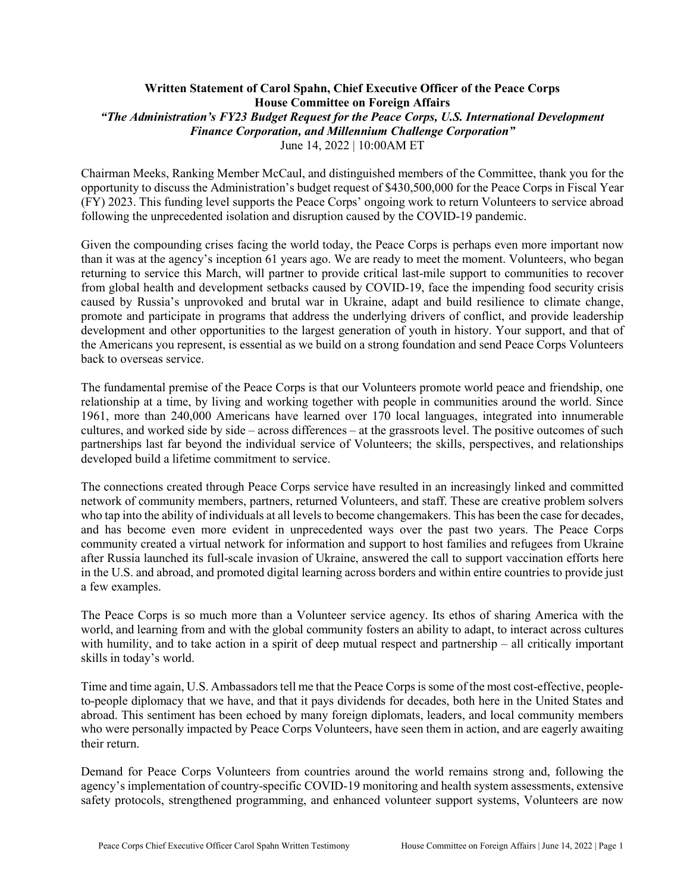# **Written Statement of Carol Spahn, Chief Executive Officer of the Peace Corps House Committee on Foreign Affairs** *"The Administration's FY23 Budget Request for the Peace Corps, U.S. International Development Finance Corporation, and Millennium Challenge Corporation"* June 14, 2022 | 10:00AM ET

Chairman Meeks, Ranking Member McCaul, and distinguished members of the Committee, thank you for the opportunity to discuss the Administration's budget request of \$430,500,000 for the Peace Corps in Fiscal Year (FY) 2023. This funding level supports the Peace Corps' ongoing work to return Volunteers to service abroad following the unprecedented isolation and disruption caused by the COVID-19 pandemic.

Given the compounding crises facing the world today, the Peace Corps is perhaps even more important now than it was at the agency's inception 61 years ago. We are ready to meet the moment. Volunteers, who began returning to service this March, will partner to provide critical last-mile support to communities to recover from global health and development setbacks caused by COVID-19, face the impending food security crisis caused by Russia's unprovoked and brutal war in Ukraine, adapt and build resilience to climate change, promote and participate in programs that address the underlying drivers of conflict, and provide leadership development and other opportunities to the largest generation of youth in history. Your support, and that of the Americans you represent, is essential as we build on a strong foundation and send Peace Corps Volunteers back to overseas service.

The fundamental premise of the Peace Corps is that our Volunteers promote world peace and friendship, one relationship at a time, by living and working together with people in communities around the world. Since 1961, more than 240,000 Americans have learned over 170 local languages, integrated into innumerable cultures, and worked side by side – across differences – at the grassroots level. The positive outcomes of such partnerships last far beyond the individual service of Volunteers; the skills, perspectives, and relationships developed build a lifetime commitment to service.

The connections created through Peace Corps service have resulted in an increasingly linked and committed network of community members, partners, returned Volunteers, and staff. These are creative problem solvers who tap into the ability of individuals at all levels to become changemakers. This has been the case for decades, and has become even more evident in unprecedented ways over the past two years. The Peace Corps community created a virtual network for information and support to host families and refugees from Ukraine after Russia launched its full-scale invasion of Ukraine, answered the call to support vaccination efforts here in the U.S. and abroad, and promoted digital learning across borders and within entire countries to provide just a few examples.

The Peace Corps is so much more than a Volunteer service agency. Its ethos of sharing America with the world, and learning from and with the global community fosters an ability to adapt, to interact across cultures with humility, and to take action in a spirit of deep mutual respect and partnership – all critically important skills in today's world.

Time and time again, U.S. Ambassadors tell me that the Peace Corps is some of the most cost-effective, peopleto-people diplomacy that we have, and that it pays dividends for decades, both here in the United States and abroad. This sentiment has been echoed by many foreign diplomats, leaders, and local community members who were personally impacted by Peace Corps Volunteers, have seen them in action, and are eagerly awaiting their return.

Demand for Peace Corps Volunteers from countries around the world remains strong and, following the agency's implementation of country-specific COVID-19 monitoring and health system assessments, extensive safety protocols, strengthened programming, and enhanced volunteer support systems, Volunteers are now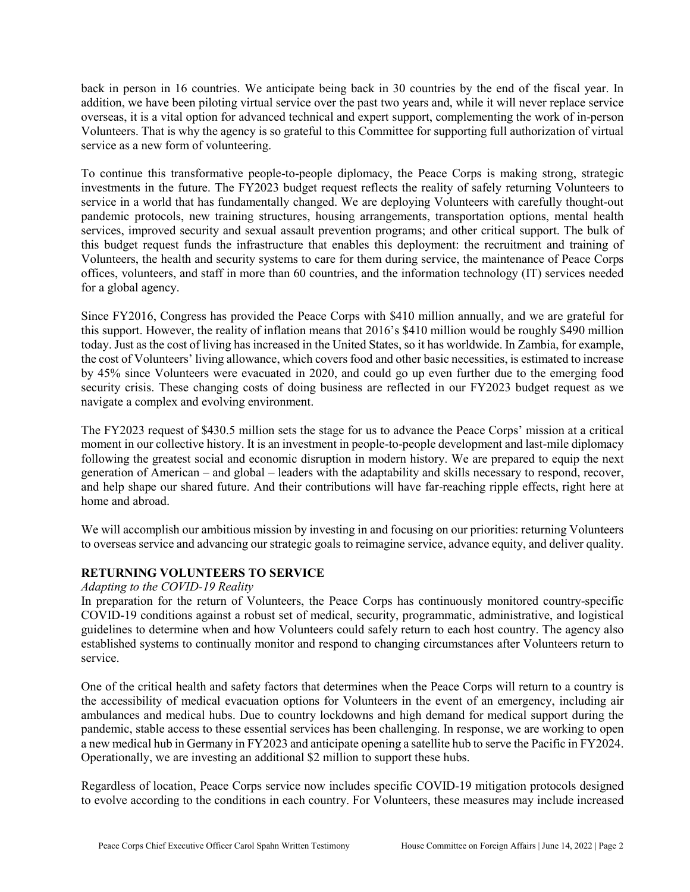back in person in 16 countries. We anticipate being back in 30 countries by the end of the fiscal year. In addition, we have been piloting virtual service over the past two years and, while it will never replace service overseas, it is a vital option for advanced technical and expert support, complementing the work of in-person Volunteers. That is why the agency is so grateful to this Committee for supporting full authorization of virtual service as a new form of volunteering.

To continue this transformative people-to-people diplomacy, the Peace Corps is making strong, strategic investments in the future. The FY2023 budget request reflects the reality of safely returning Volunteers to service in a world that has fundamentally changed. We are deploying Volunteers with carefully thought-out pandemic protocols, new training structures, housing arrangements, transportation options, mental health services, improved security and sexual assault prevention programs; and other critical support. The bulk of this budget request funds the infrastructure that enables this deployment: the recruitment and training of Volunteers, the health and security systems to care for them during service, the maintenance of Peace Corps offices, volunteers, and staff in more than 60 countries, and the information technology (IT) services needed for a global agency.

Since FY2016, Congress has provided the Peace Corps with \$410 million annually, and we are grateful for this support. However, the reality of inflation means that 2016's \$410 million would be roughly \$490 million today. Just as the cost of living has increased in the United States, so it has worldwide. In Zambia, for example, the cost of Volunteers' living allowance, which covers food and other basic necessities, is estimated to increase by 45% since Volunteers were evacuated in 2020, and could go up even further due to the emerging food security crisis. These changing costs of doing business are reflected in our FY2023 budget request as we navigate a complex and evolving environment.

The FY2023 request of \$430.5 million sets the stage for us to advance the Peace Corps' mission at a critical moment in our collective history. It is an investment in people-to-people development and last-mile diplomacy following the greatest social and economic disruption in modern history. We are prepared to equip the next generation of American – and global – leaders with the adaptability and skills necessary to respond, recover, and help shape our shared future. And their contributions will have far-reaching ripple effects, right here at home and abroad.

We will accomplish our ambitious mission by investing in and focusing on our priorities: returning Volunteers to overseas service and advancing our strategic goals to reimagine service, advance equity, and deliver quality.

# **RETURNING VOLUNTEERS TO SERVICE**

# *Adapting to the COVID-19 Reality*

In preparation for the return of Volunteers, the Peace Corps has continuously monitored country-specific COVID-19 conditions against a robust set of medical, security, programmatic, administrative, and logistical guidelines to determine when and how Volunteers could safely return to each host country. The agency also established systems to continually monitor and respond to changing circumstances after Volunteers return to service.

One of the critical health and safety factors that determines when the Peace Corps will return to a country is the accessibility of medical evacuation options for Volunteers in the event of an emergency, including air ambulances and medical hubs. Due to country lockdowns and high demand for medical support during the pandemic, stable access to these essential services has been challenging. In response, we are working to open a new medical hub in Germany in FY2023 and anticipate opening a satellite hub to serve the Pacific in FY2024. Operationally, we are investing an additional \$2 million to support these hubs.

Regardless of location, Peace Corps service now includes specific COVID-19 mitigation protocols designed to evolve according to the conditions in each country. For Volunteers, these measures may include increased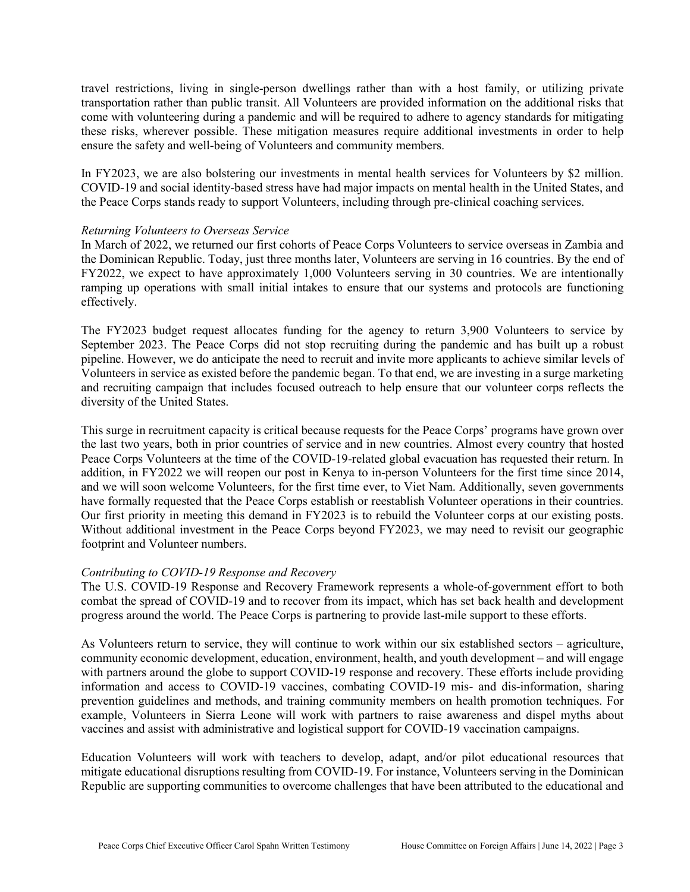travel restrictions, living in single-person dwellings rather than with a host family, or utilizing private transportation rather than public transit. All Volunteers are provided information on the additional risks that come with volunteering during a pandemic and will be required to adhere to agency standards for mitigating these risks, wherever possible. These mitigation measures require additional investments in order to help ensure the safety and well-being of Volunteers and community members.

In FY2023, we are also bolstering our investments in mental health services for Volunteers by \$2 million. COVID-19 and social identity-based stress have had major impacts on mental health in the United States, and the Peace Corps stands ready to support Volunteers, including through pre-clinical coaching services.

#### *Returning Volunteers to Overseas Service*

In March of 2022, we returned our first cohorts of Peace Corps Volunteers to service overseas in Zambia and the Dominican Republic. Today, just three months later, Volunteers are serving in 16 countries. By the end of FY2022, we expect to have approximately 1,000 Volunteers serving in 30 countries. We are intentionally ramping up operations with small initial intakes to ensure that our systems and protocols are functioning effectively.

The FY2023 budget request allocates funding for the agency to return 3,900 Volunteers to service by September 2023. The Peace Corps did not stop recruiting during the pandemic and has built up a robust pipeline. However, we do anticipate the need to recruit and invite more applicants to achieve similar levels of Volunteers in service as existed before the pandemic began. To that end, we are investing in a surge marketing and recruiting campaign that includes focused outreach to help ensure that our volunteer corps reflects the diversity of the United States.

This surge in recruitment capacity is critical because requests for the Peace Corps' programs have grown over the last two years, both in prior countries of service and in new countries. Almost every country that hosted Peace Corps Volunteers at the time of the COVID-19-related global evacuation has requested their return. In addition, in FY2022 we will reopen our post in Kenya to in-person Volunteers for the first time since 2014, and we will soon welcome Volunteers, for the first time ever, to Viet Nam. Additionally, seven governments have formally requested that the Peace Corps establish or reestablish Volunteer operations in their countries. Our first priority in meeting this demand in FY2023 is to rebuild the Volunteer corps at our existing posts. Without additional investment in the Peace Corps beyond FY2023, we may need to revisit our geographic footprint and Volunteer numbers.

# *Contributing to COVID-19 Response and Recovery*

The U.S. COVID-19 Response and Recovery Framework represents a whole-of-government effort to both combat the spread of COVID-19 and to recover from its impact, which has set back health and development progress around the world. The Peace Corps is partnering to provide last-mile support to these efforts.

As Volunteers return to service, they will continue to work within our six established sectors – agriculture, community economic development, education, environment, health, and youth development – and will engage with partners around the globe to support COVID-19 response and recovery. These efforts include providing information and access to COVID-19 vaccines, combating COVID-19 mis- and dis-information, sharing prevention guidelines and methods, and training community members on health promotion techniques. For example, Volunteers in Sierra Leone will work with partners to raise awareness and dispel myths about vaccines and assist with administrative and logistical support for COVID-19 vaccination campaigns.

Education Volunteers will work with teachers to develop, adapt, and/or pilot educational resources that mitigate educational disruptions resulting from COVID-19. For instance, Volunteers serving in the Dominican Republic are supporting communities to overcome challenges that have been attributed to the educational and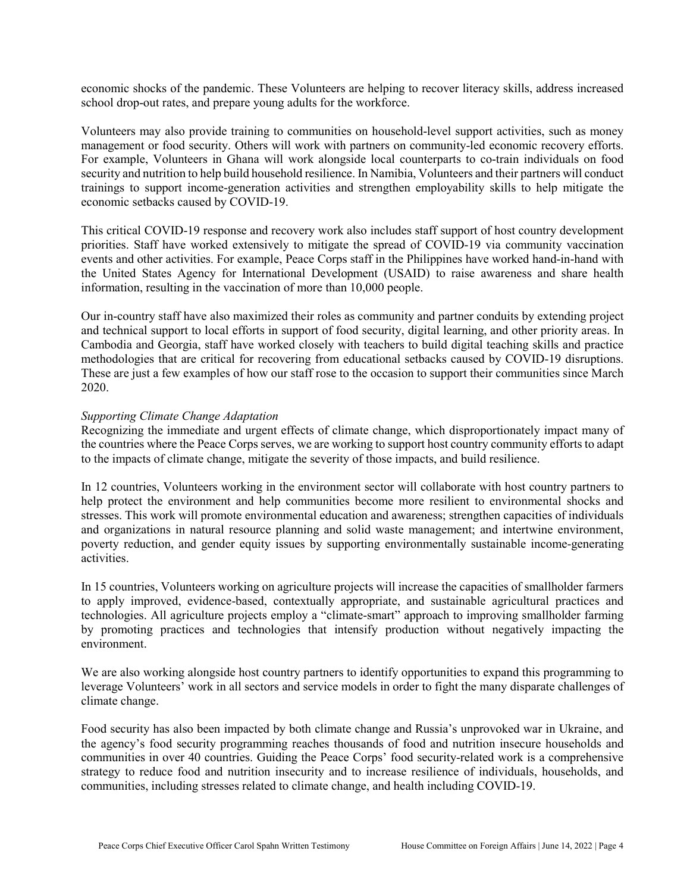economic shocks of the pandemic. These Volunteers are helping to recover literacy skills, address increased school drop-out rates, and prepare young adults for the workforce.

Volunteers may also provide training to communities on household-level support activities, such as money management or food security. Others will work with partners on community-led economic recovery efforts. For example, Volunteers in Ghana will work alongside local counterparts to co-train individuals on food security and nutrition to help build household resilience. In Namibia, Volunteers and their partners will conduct trainings to support income-generation activities and strengthen employability skills to help mitigate the economic setbacks caused by COVID-19.

This critical COVID-19 response and recovery work also includes staff support of host country development priorities. Staff have worked extensively to mitigate the spread of COVID-19 via community vaccination events and other activities. For example, Peace Corps staff in the Philippines have worked hand-in-hand with the United States Agency for International Development (USAID) to raise awareness and share health information, resulting in the vaccination of more than 10,000 people.

Our in-country staff have also maximized their roles as community and partner conduits by extending project and technical support to local efforts in support of food security, digital learning, and other priority areas. In Cambodia and Georgia, staff have worked closely with teachers to build digital teaching skills and practice methodologies that are critical for recovering from educational setbacks caused by COVID-19 disruptions. These are just a few examples of how our staff rose to the occasion to support their communities since March 2020.

### *Supporting Climate Change Adaptation*

Recognizing the immediate and urgent effects of climate change, which disproportionately impact many of the countries where the Peace Corps serves, we are working to support host country community efforts to adapt to the impacts of climate change, mitigate the severity of those impacts, and build resilience.

In 12 countries, Volunteers working in the environment sector will collaborate with host country partners to help protect the environment and help communities become more resilient to environmental shocks and stresses. This work will promote environmental education and awareness; strengthen capacities of individuals and organizations in natural resource planning and solid waste management; and intertwine environment, poverty reduction, and gender equity issues by supporting environmentally sustainable income-generating activities.

In 15 countries, Volunteers working on agriculture projects will increase the capacities of smallholder farmers to apply improved, evidence-based, contextually appropriate, and sustainable agricultural practices and technologies. All agriculture projects employ a "climate-smart" approach to improving smallholder farming by promoting practices and technologies that intensify production without negatively impacting the environment.

We are also working alongside host country partners to identify opportunities to expand this programming to leverage Volunteers' work in all sectors and service models in order to fight the many disparate challenges of climate change.

Food security has also been impacted by both climate change and Russia's unprovoked war in Ukraine, and the agency's food security programming reaches thousands of food and nutrition insecure households and communities in over 40 countries. Guiding the Peace Corps' food security-related work is a comprehensive strategy to reduce food and nutrition insecurity and to increase resilience of individuals, households, and communities, including stresses related to climate change, and health including COVID-19.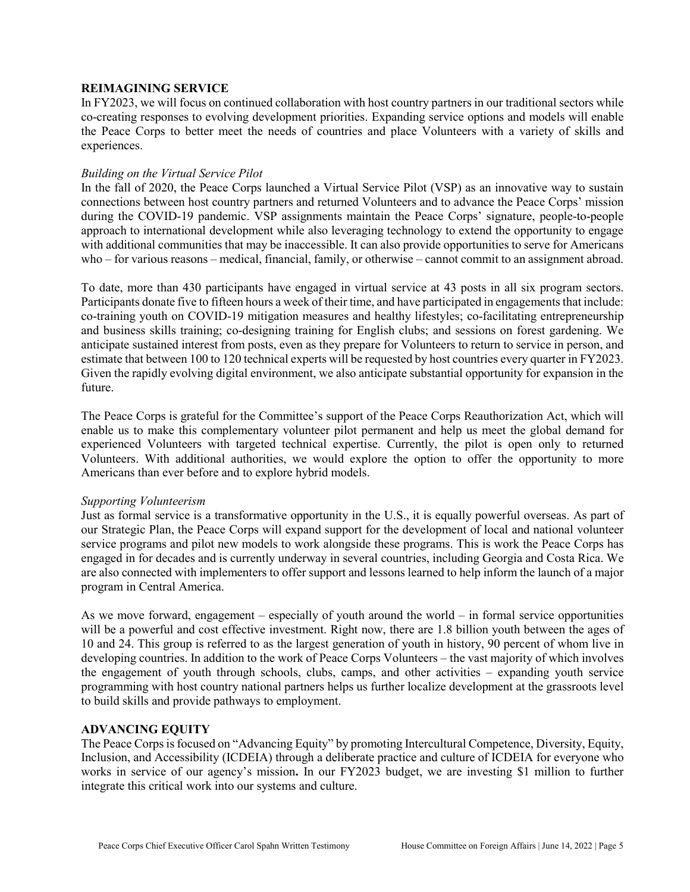### **REIMAGINING SERVICE**

In FY2023, we will focus on continued collaboration with host country partners in our traditional sectors while co-creating responses to evolving development priorities. Expanding service options and models will enable the Peace Corps to better meet the needs of countries and place Volunteers with a variety of skills and experiences.

### *Building on the Virtual Service Pilot*

In the fall of 2020, the Peace Corps launched a Virtual Service Pilot (VSP) as an innovative way to sustain connections between host country partners and returned Volunteers and to advance the Peace Corps' mission during the COVID-19 pandemic. VSP assignments maintain the Peace Corps' signature, people-to-people approach to international development while also leveraging technology to extend the opportunity to engage with additional communities that may be inaccessible. It can also provide opportunities to serve for Americans who – for various reasons – medical, financial, family, or otherwise – cannot commit to an assignment abroad.

To date, more than 430 participants have engaged in virtual service at 43 posts in all six program sectors. Participants donate five to fifteen hours a week of their time, and have participated in engagements that include: co-training youth on COVID-19 mitigation measures and healthy lifestyles; co-facilitating entrepreneurship and business skills training; co-designing training for English clubs; and sessions on forest gardening. We anticipate sustained interest from posts, even as they prepare for Volunteers to return to service in person, and estimate that between 100 to 120 technical experts will be requested by host countries every quarter in FY2023. Given the rapidly evolving digital environment, we also anticipate substantial opportunity for expansion in the future.

The Peace Corps is grateful for the Committee's support of the Peace Corps Reauthorization Act, which will enable us to make this complementary volunteer pilot permanent and help us meet the global demand for experienced Volunteers with targeted technical expertise. Currently, the pilot is open only to returned Volunteers. With additional authorities, we would explore the option to offer the opportunity to more Americans than ever before and to explore hybrid models.

# *Supporting Volunteerism*

Just as formal service is a transformative opportunity in the U.S., it is equally powerful overseas. As part of our Strategic Plan, the Peace Corps will expand support for the development of local and national volunteer service programs and pilot new models to work alongside these programs. This is work the Peace Corps has engaged in for decades and is currently underway in several countries, including Georgia and Costa Rica. We are also connected with implementers to offer support and lessons learned to help inform the launch of a major program in Central America.

As we move forward, engagement – especially of youth around the world – in formal service opportunities will be a powerful and cost effective investment. Right now, there are 1.8 billion youth between the ages of 10 and 24. This group is referred to as the largest generation of youth in history, 90 percent of whom live in developing countries. In addition to the work of Peace Corps Volunteers – the vast majority of which involves the engagement of youth through schools, clubs, camps, and other activities – expanding youth service programming with host country national partners helps us further localize development at the grassroots level to build skills and provide pathways to employment.

#### **ADVANCING EQUITY**

The Peace Corps is focused on "Advancing Equity" by promoting Intercultural Competence, Diversity, Equity, Inclusion, and Accessibility (ICDEIA) through a deliberate practice and culture of ICDEIA for everyone who works in service of our agency's mission**.** In our FY2023 budget, we are investing \$1 million to further integrate this critical work into our systems and culture.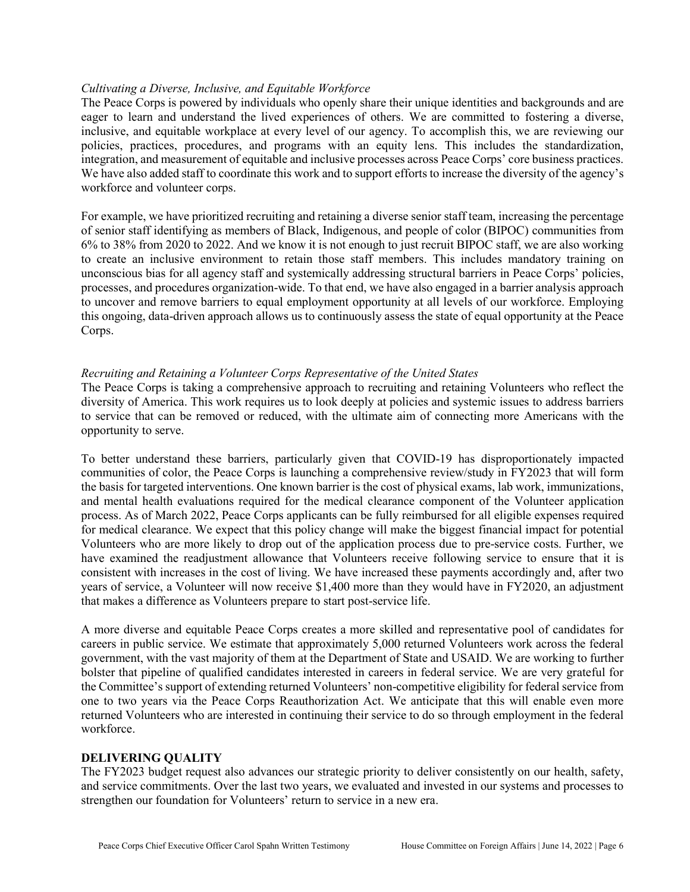# *Cultivating a Diverse, Inclusive, and Equitable Workforce*

The Peace Corps is powered by individuals who openly share their unique identities and backgrounds and are eager to learn and understand the lived experiences of others. We are committed to fostering a diverse, inclusive, and equitable workplace at every level of our agency. To accomplish this, we are reviewing our policies, practices, procedures, and programs with an equity lens. This includes the standardization, integration, and measurement of equitable and inclusive processes across Peace Corps' core business practices. We have also added staff to coordinate this work and to support efforts to increase the diversity of the agency's workforce and volunteer corps.

For example, we have prioritized recruiting and retaining a diverse senior staff team, increasing the percentage of senior staff identifying as members of Black, Indigenous, and people of color (BIPOC) communities from 6% to 38% from 2020 to 2022. And we know it is not enough to just recruit BIPOC staff, we are also working to create an inclusive environment to retain those staff members. This includes mandatory training on unconscious bias for all agency staff and systemically addressing structural barriers in Peace Corps' policies, processes, and procedures organization-wide. To that end, we have also engaged in a barrier analysis approach to uncover and remove barriers to equal employment opportunity at all levels of our workforce. Employing this ongoing, data-driven approach allows us to continuously assess the state of equal opportunity at the Peace Corps.

# *Recruiting and Retaining a Volunteer Corps Representative of the United States*

The Peace Corps is taking a comprehensive approach to recruiting and retaining Volunteers who reflect the diversity of America. This work requires us to look deeply at policies and systemic issues to address barriers to service that can be removed or reduced, with the ultimate aim of connecting more Americans with the opportunity to serve.

To better understand these barriers, particularly given that COVID-19 has disproportionately impacted communities of color, the Peace Corps is launching a comprehensive review/study in FY2023 that will form the basis for targeted interventions. One known barrier is the cost of physical exams, lab work, immunizations, and mental health evaluations required for the medical clearance component of the Volunteer application process. As of March 2022, Peace Corps applicants can be fully reimbursed for all eligible expenses required for medical clearance. We expect that this policy change will make the biggest financial impact for potential Volunteers who are more likely to drop out of the application process due to pre-service costs. Further, we have examined the readjustment allowance that Volunteers receive following service to ensure that it is consistent with increases in the cost of living. We have increased these payments accordingly and, after two years of service, a Volunteer will now receive \$1,400 more than they would have in FY2020, an adjustment that makes a difference as Volunteers prepare to start post-service life.

A more diverse and equitable Peace Corps creates a more skilled and representative pool of candidates for careers in public service. We estimate that approximately 5,000 returned Volunteers work across the federal government, with the vast majority of them at the Department of State and USAID. We are working to further bolster that pipeline of qualified candidates interested in careers in federal service. We are very grateful for the Committee's support of extending returned Volunteers' non-competitive eligibility for federal service from one to two years via the Peace Corps Reauthorization Act. We anticipate that this will enable even more returned Volunteers who are interested in continuing their service to do so through employment in the federal workforce.

# **DELIVERING QUALITY**

The FY2023 budget request also advances our strategic priority to deliver consistently on our health, safety, and service commitments. Over the last two years, we evaluated and invested in our systems and processes to strengthen our foundation for Volunteers' return to service in a new era.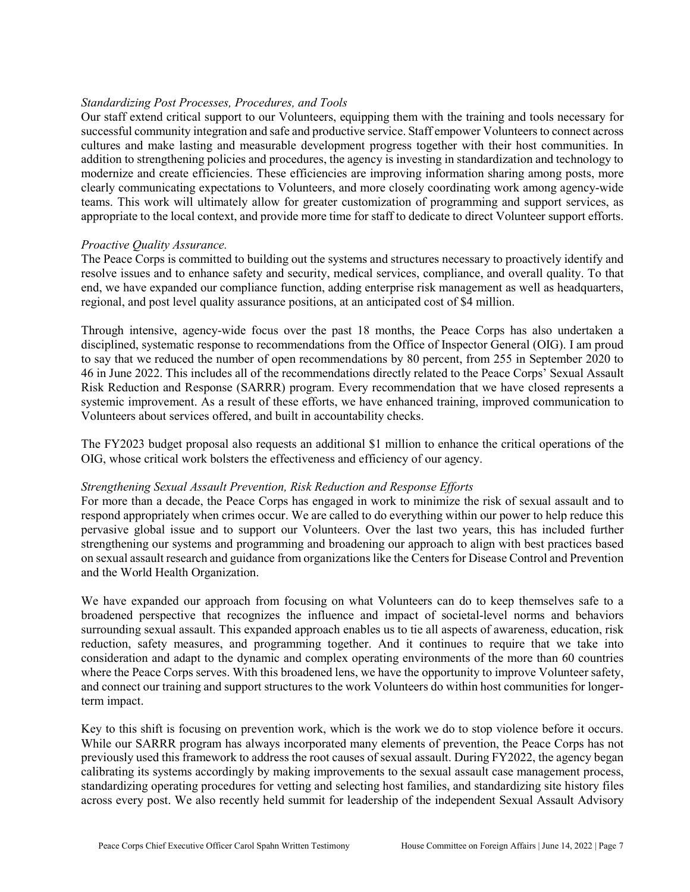# *Standardizing Post Processes, Procedures, and Tools*

Our staff extend critical support to our Volunteers, equipping them with the training and tools necessary for successful community integration and safe and productive service. Staff empower Volunteers to connect across cultures and make lasting and measurable development progress together with their host communities. In addition to strengthening policies and procedures, the agency is investing in standardization and technology to modernize and create efficiencies. These efficiencies are improving information sharing among posts, more clearly communicating expectations to Volunteers, and more closely coordinating work among agency-wide teams. This work will ultimately allow for greater customization of programming and support services, as appropriate to the local context, and provide more time for staff to dedicate to direct Volunteer support efforts.

### *Proactive Quality Assurance.*

The Peace Corps is committed to building out the systems and structures necessary to proactively identify and resolve issues and to enhance safety and security, medical services, compliance, and overall quality. To that end, we have expanded our compliance function, adding enterprise risk management as well as headquarters, regional, and post level quality assurance positions, at an anticipated cost of \$4 million.

Through intensive, agency-wide focus over the past 18 months, the Peace Corps has also undertaken a disciplined, systematic response to recommendations from the Office of Inspector General (OIG). I am proud to say that we reduced the number of open recommendations by 80 percent, from 255 in September 2020 to 46 in June 2022. This includes all of the recommendations directly related to the Peace Corps' Sexual Assault Risk Reduction and Response (SARRR) program. Every recommendation that we have closed represents a systemic improvement. As a result of these efforts, we have enhanced training, improved communication to Volunteers about services offered, and built in accountability checks.

The FY2023 budget proposal also requests an additional \$1 million to enhance the critical operations of the OIG, whose critical work bolsters the effectiveness and efficiency of our agency.

#### *Strengthening Sexual Assault Prevention, Risk Reduction and Response Efforts*

For more than a decade, the Peace Corps has engaged in work to minimize the risk of sexual assault and to respond appropriately when crimes occur. We are called to do everything within our power to help reduce this pervasive global issue and to support our Volunteers. Over the last two years, this has included further strengthening our systems and programming and broadening our approach to align with best practices based on sexual assault research and guidance from organizations like the Centers for Disease Control and Prevention and the World Health Organization.

We have expanded our approach from focusing on what Volunteers can do to keep themselves safe to a broadened perspective that recognizes the influence and impact of societal-level norms and behaviors surrounding sexual assault. This expanded approach enables us to tie all aspects of awareness, education, risk reduction, safety measures, and programming together. And it continues to require that we take into consideration and adapt to the dynamic and complex operating environments of the more than 60 countries where the Peace Corps serves. With this broadened lens, we have the opportunity to improve Volunteer safety, and connect our training and support structures to the work Volunteers do within host communities for longerterm impact.

Key to this shift is focusing on prevention work, which is the work we do to stop violence before it occurs. While our SARRR program has always incorporated many elements of prevention, the Peace Corps has not previously used this framework to address the root causes of sexual assault. During FY2022, the agency began calibrating its systems accordingly by making improvements to the sexual assault case management process, standardizing operating procedures for vetting and selecting host families, and standardizing site history files across every post. We also recently held summit for leadership of the independent Sexual Assault Advisory